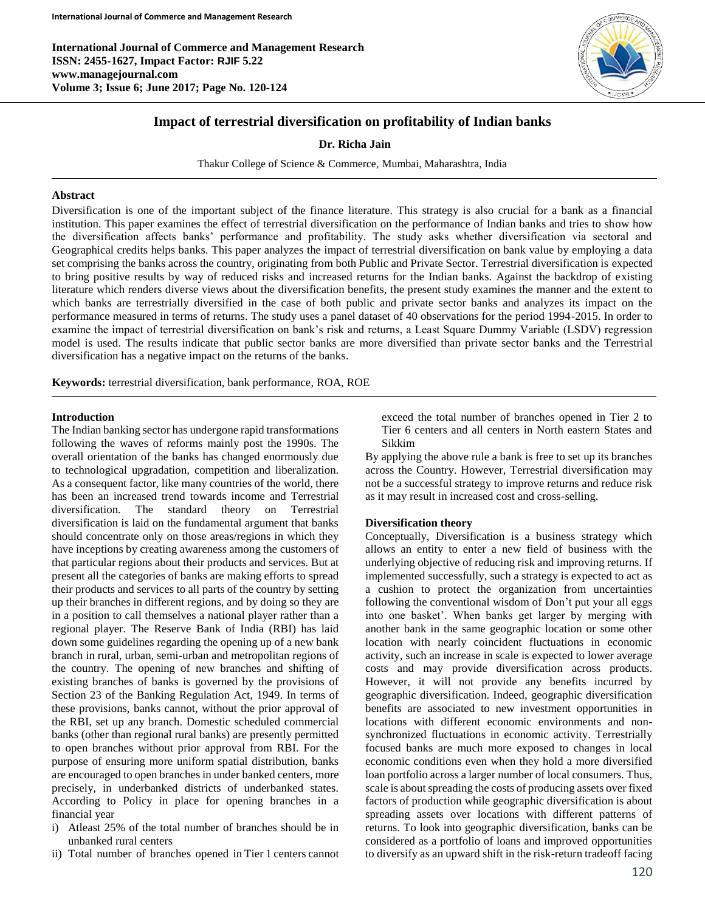**International Journal of Commerce and Management Research ISSN: 2455-1627, Impact Factor: RJIF 5.22 www.managejournal.com Volume 3; Issue 6; June 2017; Page No. 120-124**



# **Impact of terrestrial diversification on profitability of Indian banks**

**Dr. Richa Jain**

Thakur College of Science & Commerce, Mumbai, Maharashtra, India

## **Abstract**

Diversification is one of the important subject of the finance literature. This strategy is also crucial for a bank as a financial institution. This paper examines the effect of terrestrial diversification on the performance of Indian banks and tries to show how the diversification affects banks' performance and profitability. The study asks whether diversification via sectoral and Geographical credits helps banks. This paper analyzes the impact of terrestrial diversification on bank value by employing a data set comprising the banks across the country, originating from both Public and Private Sector. Terrestrial diversification is expected to bring positive results by way of reduced risks and increased returns for the Indian banks. Against the backdrop of existing literature which renders diverse views about the diversification benefits, the present study examines the manner and the extent to which banks are terrestrially diversified in the case of both public and private sector banks and analyzes its impact on the performance measured in terms of returns. The study uses a panel dataset of 40 observations for the period 1994-2015. In order to examine the impact of terrestrial diversification on bank's risk and returns, a Least Square Dummy Variable (LSDV) regression model is used. The results indicate that public sector banks are more diversified than private sector banks and the Terrestrial diversification has a negative impact on the returns of the banks.

**Keywords:** terrestrial diversification, bank performance, ROA, ROE

## **Introduction**

The Indian banking sector has undergone rapid transformations following the waves of reforms mainly post the 1990s. The overall orientation of the banks has changed enormously due to technological upgradation, competition and liberalization. As a consequent factor, like many countries of the world, there has been an increased trend towards income and Terrestrial diversification. The standard theory on Terrestrial diversification is laid on the fundamental argument that banks should concentrate only on those areas/regions in which they have inceptions by creating awareness among the customers of that particular regions about their products and services. But at present all the categories of banks are making efforts to spread their products and services to all parts of the country by setting up their branches in different regions, and by doing so they are in a position to call themselves a national player rather than a regional player. The Reserve Bank of India (RBI) has laid down some guidelines regarding the opening up of a new bank branch in rural, urban, semi-urban and metropolitan regions of the country. The opening of new branches and shifting of existing branches of banks is governed by the provisions of Section 23 of the Banking Regulation Act, 1949. In terms of these provisions, banks cannot, without the prior approval of the RBI, set up any branch. Domestic scheduled commercial banks (other than regional rural banks) are presently permitted to open branches without prior approval from RBI. For the purpose of ensuring more uniform spatial distribution, banks are encouraged to open branches in under banked centers, more precisely, in underbanked districts of underbanked states. According to Policy in place for opening branches in a financial year

- i) Atleast 25% of the total number of branches should be in unbanked rural centers
- ii) Total number of branches opened in Tier 1 centers cannot

exceed the total number of branches opened in Tier 2 to Tier 6 centers and all centers in North eastern States and Sikkim

By applying the above rule a bank is free to set up its branches across the Country. However, Terrestrial diversification may not be a successful strategy to improve returns and reduce risk as it may result in increased cost and cross-selling.

### **Diversification theory**

Conceptually, Diversification is a business strategy which allows an entity to enter a new field of business with the underlying objective of reducing risk and improving returns. If implemented successfully, such a strategy is expected to act as a cushion to protect the organization from uncertainties following the conventional wisdom of Don't put your all eggs into one basket'. When banks get larger by merging with another bank in the same geographic location or some other location with nearly coincident fluctuations in economic activity, such an increase in scale is expected to lower average costs and may provide diversification across products. However, it will not provide any benefits incurred by geographic diversification. Indeed, geographic diversification benefits are associated to new investment opportunities in locations with different economic environments and nonsynchronized fluctuations in economic activity. Terrestrially focused banks are much more exposed to changes in local economic conditions even when they hold a more diversified loan portfolio across a larger number of local consumers. Thus, scale is about spreading the costs of producing assets over fixed factors of production while geographic diversification is about spreading assets over locations with different patterns of returns. To look into geographic diversification, banks can be considered as a portfolio of loans and improved opportunities to diversify as an upward shift in the risk-return tradeoff facing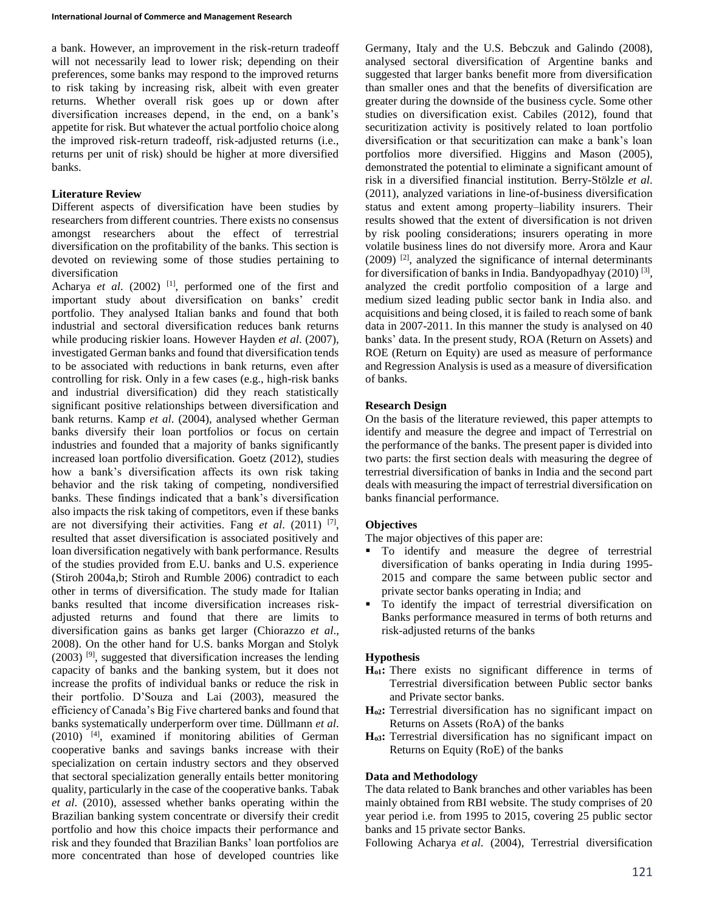a bank. However, an improvement in the risk-return tradeoff will not necessarily lead to lower risk; depending on their preferences, some banks may respond to the improved returns to risk taking by increasing risk, albeit with even greater returns. Whether overall risk goes up or down after diversification increases depend, in the end, on a bank's appetite for risk. But whatever the actual portfolio choice along the improved risk-return tradeoff, risk-adjusted returns (i.e., returns per unit of risk) should be higher at more diversified banks.

## **Literature Review**

Different aspects of diversification have been studies by researchers from different countries. There exists no consensus amongst researchers about the effect of terrestrial diversification on the profitability of the banks. This section is devoted on reviewing some of those studies pertaining to diversification

Acharya *et al.* (2002) <sup>[1]</sup>, performed one of the first and important study about diversification on banks' credit portfolio. They analysed Italian banks and found that both industrial and sectoral diversification reduces bank returns while producing riskier loans. However Hayden *et al*. (2007), investigated German banks and found that diversification tends to be associated with reductions in bank returns, even after controlling for risk. Only in a few cases (e.g., high-risk banks and industrial diversification) did they reach statistically significant positive relationships between diversification and bank returns. Kamp *et al*. (2004), analysed whether German banks diversify their loan portfolios or focus on certain industries and founded that a majority of banks significantly increased loan portfolio diversification. Goetz (2012), studies how a bank's diversification affects its own risk taking behavior and the risk taking of competing, nondiversified banks. These findings indicated that a bank's diversification also impacts the risk taking of competitors, even if these banks are not diversifying their activities. Fang *et al.* (2011)<sup>[7]</sup>, resulted that asset diversification is associated positively and loan diversification negatively with bank performance. Results of the studies provided from E.U. banks and U.S. experience (Stiroh 2004a,b; Stiroh and Rumble 2006) contradict to each other in terms of diversification. The study made for Italian banks resulted that income diversification increases riskadjusted returns and found that there are limits to diversification gains as banks get larger (Chiorazzo *et al*., 2008). On the other hand for U.S. banks Morgan and Stolyk  $(2003)$  <sup>[9]</sup>, suggested that diversification increases the lending capacity of banks and the banking system, but it does not increase the profits of individual banks or reduce the risk in their portfolio. D'Souza and Lai (2003), measured the efficiency of Canada's Big Five chartered banks and found that banks systematically underperform over time. Düllmann *et al*. (2010) [4], examined if monitoring abilities of German cooperative banks and savings banks increase with their specialization on certain industry sectors and they observed that sectoral specialization generally entails better monitoring quality, particularly in the case of the cooperative banks. Tabak *et al*. (2010), assessed whether banks operating within the Brazilian banking system concentrate or diversify their credit portfolio and how this choice impacts their performance and risk and they founded that Brazilian Banks' loan portfolios are more concentrated than hose of developed countries like

Germany, Italy and the U.S. Bebczuk and Galindo (2008), analysed sectoral diversification of Argentine banks and suggested that larger banks benefit more from diversification than smaller ones and that the benefits of diversification are greater during the downside of the business cycle. Some other studies on diversification exist. Cabiles (2012), found that securitization activity is positively related to loan portfolio diversification or that securitization can make a bank's loan portfolios more diversified. Higgins and Mason (2005), demonstrated the potential to eliminate a significant amount of risk in a diversified financial institution. Berry-Stölzle *et al*. (2011), analyzed variations in line-of-business diversification status and extent among property–liability insurers. Their results showed that the extent of diversification is not driven by risk pooling considerations; insurers operating in more volatile business lines do not diversify more. Arora and Kaur  $(2009)$ <sup>[2]</sup>, analyzed the significance of internal determinants for diversification of banks in India. Bandyopadhyay (2010)<sup>[3]</sup>, analyzed the credit portfolio composition of a large and medium sized leading public sector bank in India also. and acquisitions and being closed, it is failed to reach some of bank data in 2007-2011. In this manner the study is analysed on 40 banks' data. In the present study, ROA (Return on Assets) and ROE (Return on Equity) are used as measure of performance and Regression Analysis is used as a measure of diversification of banks.

# **Research Design**

On the basis of the literature reviewed, this paper attempts to identify and measure the degree and impact of Terrestrial on the performance of the banks. The present paper is divided into two parts: the first section deals with measuring the degree of terrestrial diversification of banks in India and the second part deals with measuring the impact of terrestrial diversification on banks financial performance.

# **Objectives**

The major objectives of this paper are:

- $\blacksquare$  To identify and measure the degree of terrestrial diversification of banks operating in India during 1995- 2015 and compare the same between public sector and private sector banks operating in India; and
- To identify the impact of terrestrial diversification on Banks performance measured in terms of both returns and risk-adjusted returns of the banks

# **Hypothesis**

- **Ho1:** There exists no significant difference in terms of Terrestrial diversification between Public sector banks and Private sector banks.
- **Ho2:** Terrestrial diversification has no significant impact on Returns on Assets (RoA) of the banks
- **Ho3:** Terrestrial diversification has no significant impact on Returns on Equity (RoE) of the banks

### **Data and Methodology**

The data related to Bank branches and other variables has been mainly obtained from RBI website. The study comprises of 20 year period i.e. from 1995 to 2015, covering 25 public sector banks and 15 private sector Banks.

Following Acharya *et al*. (2004), Terrestrial diversification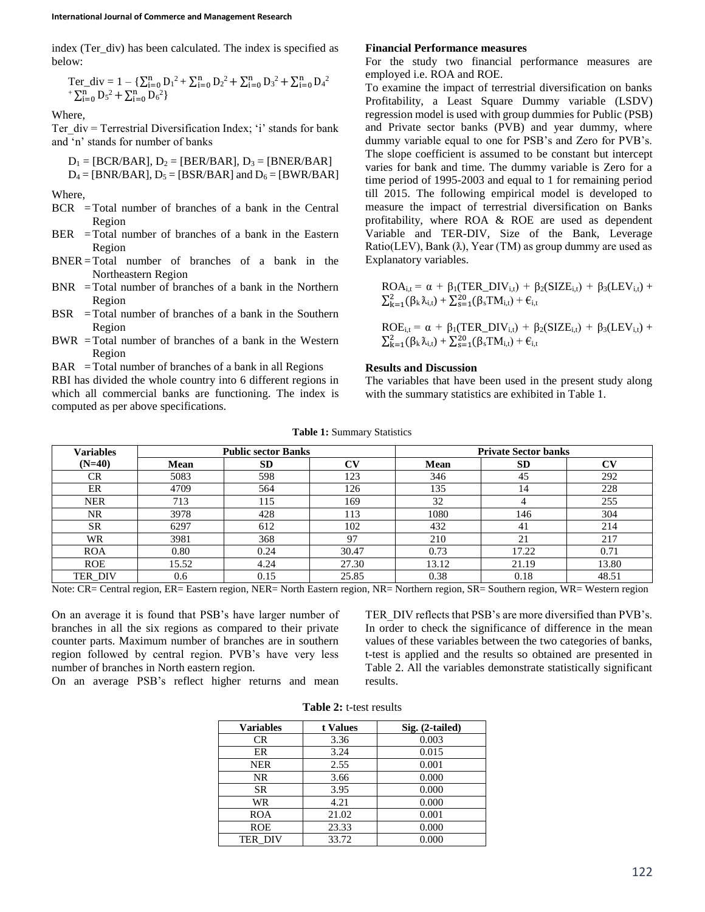index (Ter div) has been calculated. The index is specified as below:

$$
\begin{array}{l} \mathop{\rm Ter\_div}=1-\{\sum_{i=0}^{n}D_{i}{}^{2}+\sum_{i=0}^{n}D_{2}{}^{2}+\sum_{i=0}^{n}D_{3}{}^{2}+\sum_{i=0}^{n}D_{4}{}^{2}\\ +\sum_{i=0}^{n}D_{5}{}^{2}+\sum_{i=0}^{n}D_{6}{}^{2}\}\end{array}
$$

Where,

Ter  $div =$  Terrestrial Diversification Index; 'i' stands for bank and 'n' stands for number of banks

 $D_1 = [BCR/BAR]$ ,  $D_2 = [BER/BAR]$ ,  $D_3 = [BNER/BAR]$  $D_4 = [BNR/BAR], D_5 = [BSR/BAR]$  and  $D_6 = [BWR/BAR]$ 

Where,

- BCR =Total number of branches of a bank in the Central Region
- BER = Total number of branches of a bank in the Eastern Region
- BNER =Total number of branches of a bank in the Northeastern Region
- BNR =Total number of branches of a bank in the Northern Region
- BSR =Total number of branches of a bank in the Southern Region
- BWR =Total number of branches of a bank in the Western Region

 $BAR = Total number of branches of a bank in all Regions$ 

RBI has divided the whole country into 6 different regions in which all commercial banks are functioning. The index is computed as per above specifications.

#### **Financial Performance measures**

For the study two financial performance measures are employed i.e. ROA and ROE.

To examine the impact of terrestrial diversification on banks Profitability, a Least Square Dummy variable (LSDV) regression model is used with group dummies for Public (PSB) and Private sector banks (PVB) and year dummy, where dummy variable equal to one for PSB's and Zero for PVB's. The slope coefficient is assumed to be constant but intercept varies for bank and time. The dummy variable is Zero for a time period of 1995-2003 and equal to 1 for remaining period till 2015. The following empirical model is developed to measure the impact of terrestrial diversification on Banks profitability, where ROA & ROE are used as dependent Variable and TER-DIV, Size of the Bank, Leverage Ratio(LEV), Bank ( $\lambda$ ), Year (TM) as group dummy are used as Explanatory variables.

 $ROA_{i,t} = \alpha + \beta_1 (TER\_DIV_{i,t}) + \beta_2 (SIZE_{i,t}) + \beta_3 (LEV_{i,t}) +$  $\sum_{k=1}^{2} (\beta_{k} \lambda_{i,t}) + \sum_{s=1}^{20} (\beta_{s} TM_{i,t}) + \varepsilon_{i,t}$ 

ROE<sub>i,t</sub> =  $\alpha$  +  $\beta_1$ (TER\_DIV<sub>i,t</sub>) +  $\beta_2$ (SIZE<sub>i,t</sub>) +  $\beta_3$ (LEV<sub>i,t</sub>) +  $\sum_{k=1}^{2} (\beta_{k} \lambda_{i,t}) + \sum_{s=1}^{20} (\beta_{s} TM_{i,t}) + \varepsilon_{i,t}$ 

# **Results and Discussion**

The variables that have been used in the present study along with the summary statistics are exhibited in Table 1.

|  | <b>Table 1: Summary Statistics</b> |  |
|--|------------------------------------|--|
|--|------------------------------------|--|

| <b>Variables</b> | <b>Public sector Banks</b> |           |               | <b>Private Sector banks</b> |           |           |
|------------------|----------------------------|-----------|---------------|-----------------------------|-----------|-----------|
| $(N=40)$         | <b>Mean</b>                | <b>SD</b> | CV            | Mean                        | <b>SD</b> | $\bf{CV}$ |
| CR.              | 5083                       | 598       | 123           | 346                         | 45        | 292       |
| ER               | 4709                       | 564       | 126           | 135                         | 14        | 228       |
| <b>NER</b>       | 713                        | 115       | 169           | 32                          | 4         | 255       |
| NR.              | 3978                       | 428       | <sup>13</sup> | 1080                        | 146       | 304       |
| <b>SR</b>        | 6297                       | 612       | 102           | 432                         | 41        | 214       |
| WR               | 3981                       | 368       | 97            | 210                         | 21        | 217       |
| <b>ROA</b>       | 0.80                       | 0.24      | 30.47         | 0.73                        | 17.22     | 0.71      |
| <b>ROE</b>       | 15.52                      | 4.24      | 27.30         | 13.12                       | 21.19     | 13.80     |
| <b>TER DIV</b>   | 0.6                        | 0.15      | 25.85         | 0.38                        | 0.18      | 48.51     |

Note: CR= Central region, ER= Eastern region, NER= North Eastern region, NR= Northern region, SR= Southern region, WR= Western region

On an average it is found that PSB's have larger number of branches in all the six regions as compared to their private counter parts. Maximum number of branches are in southern region followed by central region. PVB's have very less number of branches in North eastern region.

TER DIV reflects that PSB's are more diversified than PVB's. In order to check the significance of difference in the mean values of these variables between the two categories of banks, t-test is applied and the results so obtained are presented in Table 2. All the variables demonstrate statistically significant results.

On an average PSB's reflect higher returns and mean

| <b>Variables</b> | t Values | Sig. (2-tailed) |
|------------------|----------|-----------------|
| CR               | 3.36     | 0.003           |
| ER               | 3.24     | 0.015           |
| <b>NER</b>       | 2.55     | 0.001           |
| NR               | 3.66     | 0.000           |
| <b>SR</b>        | 3.95     | 0.000           |
| WR               | 4.21     | 0.000           |
| <b>ROA</b>       | 21.02    | 0.001           |
| <b>ROE</b>       | 23.33    | 0.000           |
| <b>TER DIV</b>   | 33.72    | 0.000           |

**Table 2:** t-test results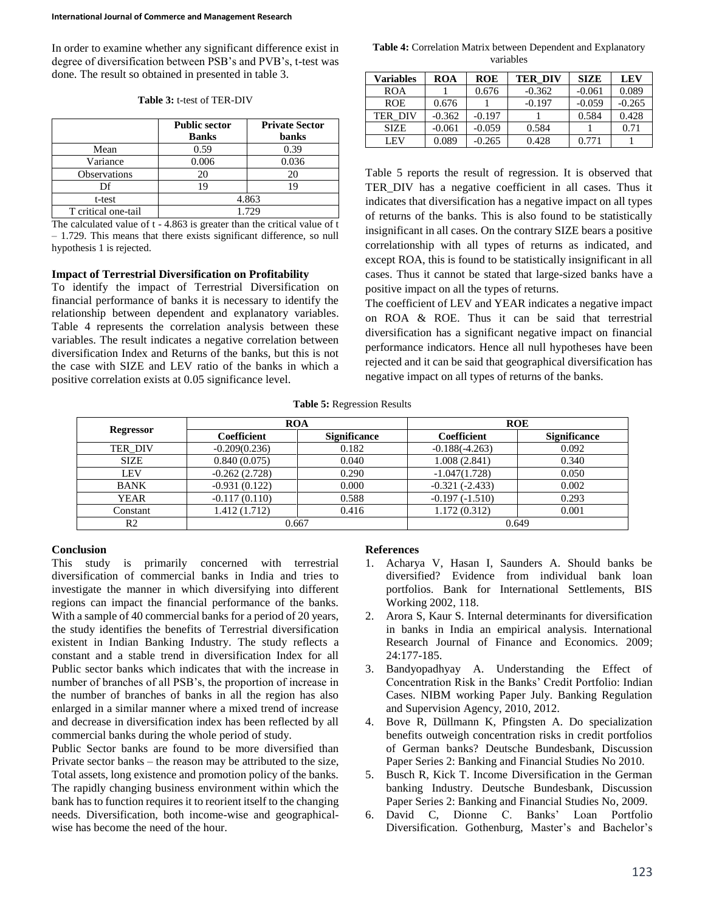In order to examine whether any significant difference exist in degree of diversification between PSB's and PVB's, t-test was done. The result so obtained in presented in table 3.

|                     | <b>Public sector</b><br><b>Banks</b> | <b>Private Sector</b><br>banks |  |  |
|---------------------|--------------------------------------|--------------------------------|--|--|
| Mean                | 0.59                                 | 0.39                           |  |  |
| Variance            | 0.006                                | 0.036                          |  |  |
| <b>Observations</b> | 20                                   | 20                             |  |  |
| Df                  | 19                                   | 19                             |  |  |
| t-test              | 4.863                                |                                |  |  |
| T critical one-tail | 1.729                                |                                |  |  |

**Table 3:** t-test of TER-DIV

The calculated value of t - 4.863 is greater than the critical value of t – 1.729. This means that there exists significant difference, so null hypothesis 1 is rejected.

#### **Impact of Terrestrial Diversification on Profitability**

To identify the impact of Terrestrial Diversification on financial performance of banks it is necessary to identify the relationship between dependent and explanatory variables. Table 4 represents the correlation analysis between these variables. The result indicates a negative correlation between diversification Index and Returns of the banks, but this is not the case with SIZE and LEV ratio of the banks in which a positive correlation exists at 0.05 significance level.

**Table 4:** Correlation Matrix between Dependent and Explanatory variables

| <b>Variables</b> | <b>ROA</b> | <b>ROE</b> | <b>TER DIV</b> | <b>SIZE</b> | <b>LEV</b> |
|------------------|------------|------------|----------------|-------------|------------|
| ROA              |            | 0.676      | $-0.362$       | $-0.061$    | 0.089      |
| <b>ROE</b>       | 0.676      |            | $-0.197$       | $-0.059$    | $-0.265$   |
| TER DIV          | $-0.362$   | $-0.197$   |                | 0.584       | 0.428      |
| <b>SIZE</b>      | $-0.061$   | $-0.059$   | 0.584          |             | 0.71       |
| LEV              | 0.089      | $-0.265$   | 0.428          | 0.771       |            |

Table 5 reports the result of regression. It is observed that TER\_DIV has a negative coefficient in all cases. Thus it indicates that diversification has a negative impact on all types of returns of the banks. This is also found to be statistically insignificant in all cases. On the contrary SIZE bears a positive correlationship with all types of returns as indicated, and except ROA, this is found to be statistically insignificant in all cases. Thus it cannot be stated that large-sized banks have a positive impact on all the types of returns.

The coefficient of LEV and YEAR indicates a negative impact on ROA & ROE. Thus it can be said that terrestrial diversification has a significant negative impact on financial performance indicators. Hence all null hypotheses have been rejected and it can be said that geographical diversification has negative impact on all types of returns of the banks.

**Table 5:** Regression Results

| <b>Regressor</b> | <b>ROA</b>      |                     | <b>ROE</b>       |                     |  |
|------------------|-----------------|---------------------|------------------|---------------------|--|
|                  | Coefficient     | <b>Significance</b> | Coefficient      | <b>Significance</b> |  |
| <b>TER DIV</b>   | $-0.209(0.236)$ | 0.182               | $-0.188(-4.263)$ | 0.092               |  |
| <b>SIZE</b>      | 0.840(0.075)    | 0.040               | 1.008(2.841)     | 0.340               |  |
| <b>LEV</b>       | $-0.262(2.728)$ | 0.290               | $-1.047(1.728)$  | 0.050               |  |
| <b>BANK</b>      | $-0.931(0.122)$ | 0.000               | $-0.321(-2.433)$ | 0.002               |  |
| <b>YEAR</b>      | $-0.117(0.110)$ | 0.588               | $-0.197(-1.510)$ | 0.293               |  |
| Constant         | 1.412(1.712)    | 0.416               | 1.172(0.312)     | 0.001               |  |
| R <sub>2</sub>   | 0.667           |                     | 0.649            |                     |  |

## **Conclusion**

This study is primarily concerned with terrestrial diversification of commercial banks in India and tries to investigate the manner in which diversifying into different regions can impact the financial performance of the banks. With a sample of 40 commercial banks for a period of 20 years, the study identifies the benefits of Terrestrial diversification existent in Indian Banking Industry. The study reflects a constant and a stable trend in diversification Index for all Public sector banks which indicates that with the increase in number of branches of all PSB's, the proportion of increase in the number of branches of banks in all the region has also enlarged in a similar manner where a mixed trend of increase and decrease in diversification index has been reflected by all commercial banks during the whole period of study.

Public Sector banks are found to be more diversified than Private sector banks – the reason may be attributed to the size, Total assets, long existence and promotion policy of the banks. The rapidly changing business environment within which the bank has to function requires it to reorient itself to the changing needs. Diversification, both income-wise and geographicalwise has become the need of the hour.

### **References**

- 1. Acharya V, Hasan I, Saunders A. Should banks be diversified? Evidence from individual bank loan portfolios. Bank for International Settlements, BIS Working 2002, 118.
- 2. Arora S, Kaur S. Internal determinants for diversification in banks in India an empirical analysis. International Research Journal of Finance and Economics. 2009; 24:177-185.
- 3. Bandyopadhyay A. Understanding the Effect of Concentration Risk in the Banks' Credit Portfolio: Indian Cases. NIBM working Paper July. Banking Regulation and Supervision Agency, 2010, 2012.
- 4. Bove R, Düllmann K, Pfingsten A. Do specialization benefits outweigh concentration risks in credit portfolios of German banks? Deutsche Bundesbank, Discussion Paper Series 2: Banking and Financial Studies No 2010.
- 5. Busch R, Kick T. Income Diversification in the German banking Industry. Deutsche Bundesbank, Discussion Paper Series 2: Banking and Financial Studies No, 2009.
- 6. David C, Dionne C. Banks' Loan Portfolio Diversification. Gothenburg, Master's and Bachelor's